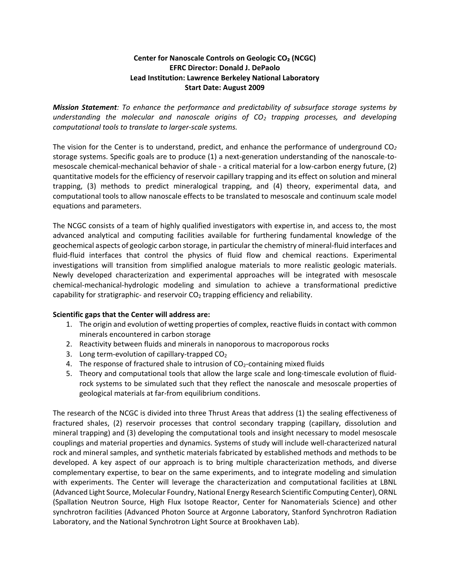## **Center for Nanoscale Controls on Geologic CO₂ (NCGC) EFRC Director: Donald J. DePaolo Lead Institution: Lawrence Berkeley National Laboratory Start Date: August 2009**

*Mission Statement: To enhance the performance and predictability of subsurface storage systems by understanding the molecular and nanoscale origins of CO<sup>2</sup> trapping processes, and developing computational tools to translate to larger-scale systems.*

The vision for the Center is to understand, predict, and enhance the performance of underground CO*<sup>2</sup>* storage systems. Specific goals are to produce (1) a next-generation understanding of the nanoscale-tomesoscale chemical-mechanical behavior of shale - a critical material for a low-carbon energy future, (2) quantitative models for the efficiency of reservoir capillary trapping and its effect on solution and mineral trapping, (3) methods to predict mineralogical trapping, and (4) theory, experimental data, and computational tools to allow nanoscale effects to be translated to mesoscale and continuum scale model equations and parameters.

The NCGC consists of a team of highly qualified investigators with expertise in, and access to, the most advanced analytical and computing facilities available for furthering fundamental knowledge of the geochemical aspects of geologic carbon storage, in particular the chemistry of mineral-fluid interfaces and fluid-fluid interfaces that control the physics of fluid flow and chemical reactions. Experimental investigations will transition from simplified analogue materials to more realistic geologic materials. Newly developed characterization and experimental approaches will be integrated with mesoscale chemical-mechanical-hydrologic modeling and simulation to achieve a transformational predictive capability for stratigraphic- and reservoir  $CO<sub>2</sub>$  trapping efficiency and reliability.

## **Scientific gaps that the Center will address are:**

- 1. The origin and evolution of wetting properties of complex, reactive fluids in contact with common minerals encountered in carbon storage
- 2. Reactivity between fluids and minerals in nanoporous to macroporous rocks
- 3. Long term-evolution of capillary-trapped  $CO<sub>2</sub>$
- 4. The response of fractured shale to intrusion of  $CO<sub>2</sub>$ -containing mixed fluids
- 5. Theory and computational tools that allow the large scale and long-timescale evolution of fluidrock systems to be simulated such that they reflect the nanoscale and mesoscale properties of geological materials at far-from equilibrium conditions.

The research of the NCGC is divided into three Thrust Areas that address (1) the sealing effectiveness of fractured shales, (2) reservoir processes that control secondary trapping (capillary, dissolution and mineral trapping) and (3) developing the computational tools and insight necessary to model mesoscale couplings and material properties and dynamics. Systems of study will include well-characterized natural rock and mineral samples, and synthetic materials fabricated by established methods and methods to be developed. A key aspect of our approach is to bring multiple characterization methods, and diverse complementary expertise, to bear on the same experiments, and to integrate modeling and simulation with experiments. The Center will leverage the characterization and computational facilities at LBNL (Advanced Light Source, Molecular Foundry, National Energy Research Scientific Computing Center), ORNL (Spallation Neutron Source, High Flux Isotope Reactor, Center for Nanomaterials Science) and other synchrotron facilities (Advanced Photon Source at Argonne Laboratory, Stanford Synchrotron Radiation Laboratory, and the National Synchrotron Light Source at Brookhaven Lab).